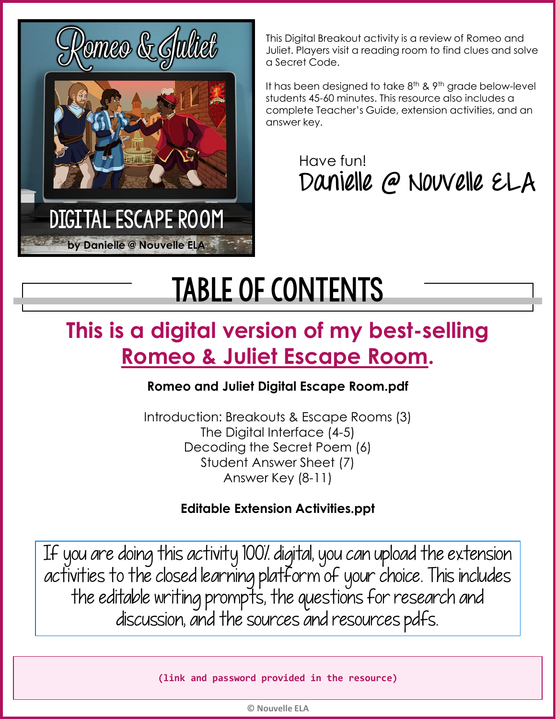

purple jumping jellyfish

This Digital Breakout activity is a review of Romeo and Juliet. Players visit a reading room to find clues and solve a Secret Code.

It has been designed to take 8<sup>th</sup> & 9<sup>th</sup> grade below-level students 45-60 minutes. This resource also includes a complete Teacher's Guide, extension activities, and an answer key.

> Have fun! **Danielle @ Nouvelle ELA**

# Table of contents

## **This is a digital version of my best-selling [Romeo & Juliet Escape Room.](https://www.teacherspayteachers.com/Product/Romeo-and-Juliet-Escape-Room-Review-Activity-3149077)**

#### **Romeo and Juliet Digital Escape Room.pdf**

Introduction: Breakouts & Escape Rooms (3) The Digital Interface (4-5) Decoding the Secret Poem (6) Student Answer Sheet (7) Answer Key (8-11)

#### **Editable Extension Activities.ppt**

If you are doing this activity 100% digital, you can upload the extension activities to the closed learning platform of your choice. This includes the editable writing prompts, the questions for research and discussion, and the sources and resources pdfs.

**(link and password provided in the resource)**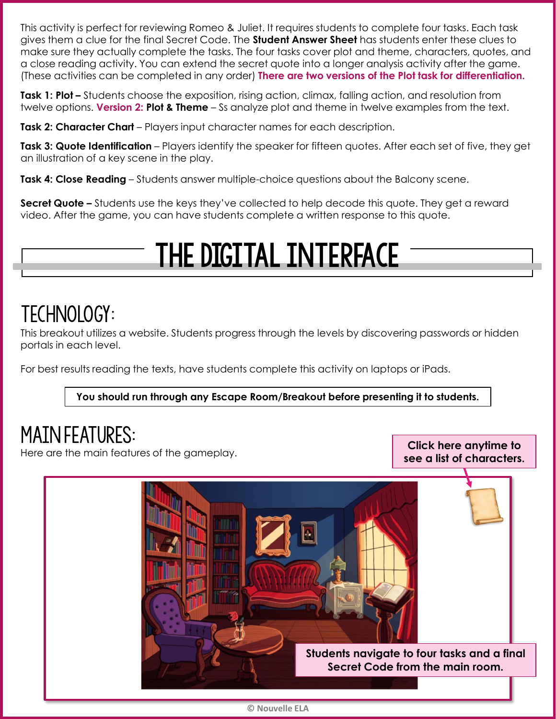This activity is perfect for reviewing Romeo & Juliet. It requires students to complete four tasks. Each task gives them a clue for the final Secret Code. The **Student Answer Sheet** has students enter these clues to make sure they actually complete the tasks. The four tasks cover plot and theme, characters, quotes, and a close reading activity. You can extend the secret quote into a longer analysis activity after the game. (These activities can be completed in any order) **There are two versions of the Plot task for differentiation.**

**Task 1: Plot –** Students choose the exposition, rising action, climax, falling action, and resolution from twelve options. **Version 2: Plot & Theme** – Ss analyze plot and theme in twelve examples from the text.

**Task 2: Character Chart** – Players input character names for each description.

**Task 3: Quote Identification** – Players identify the speaker for fifteen quotes. After each set of five, they get an illustration of a key scene in the play.

**Task 4: Close Reading** – Students answer multiple-choice questions about the Balcony scene.

**Secret Quote –** Students use the keys they've collected to help decode this quote. They get a reward video. After the game, you can have students complete a written response to this quote.

## The digital interface

### TECHNOLOGY:

This breakout utilizes a website. Students progress through the levels by discovering passwords or hidden portals in each level.

For best results reading the texts, have students complete this activity on laptops or iPads.

**You should run through any Escape Room/Breakout before presenting it to students.** 

### Main features:

Here are the main features of the gameplay.

**Click here anytime to see a list of characters.**



Nouvelle ELA **© Nouvelle ELA**